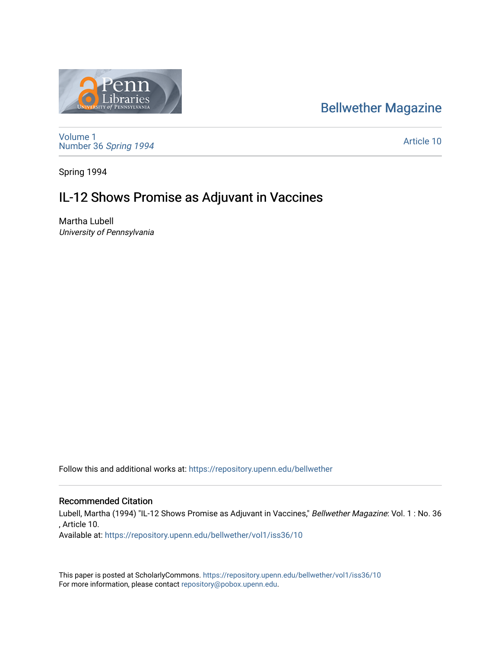### [Bellwether Magazine](https://repository.upenn.edu/bellwether)



[Volume 1](https://repository.upenn.edu/bellwether/vol1) [Number 36](https://repository.upenn.edu/bellwether/vol1/iss36) Spring 1994

[Article 10](https://repository.upenn.edu/bellwether/vol1/iss36/10) 

Spring 1994

# IL-12 Shows Promise as Adjuvant in Vaccines

Martha Lubell University of Pennsylvania

Follow this and additional works at: [https://repository.upenn.edu/bellwether](https://repository.upenn.edu/bellwether?utm_source=repository.upenn.edu%2Fbellwether%2Fvol1%2Fiss36%2F10&utm_medium=PDF&utm_campaign=PDFCoverPages) 

#### Recommended Citation

Lubell, Martha (1994) "IL-12 Shows Promise as Adjuvant in Vaccines," Bellwether Magazine: Vol. 1 : No. 36 , Article 10.

Available at: [https://repository.upenn.edu/bellwether/vol1/iss36/10](https://repository.upenn.edu/bellwether/vol1/iss36/10?utm_source=repository.upenn.edu%2Fbellwether%2Fvol1%2Fiss36%2F10&utm_medium=PDF&utm_campaign=PDFCoverPages) 

This paper is posted at ScholarlyCommons.<https://repository.upenn.edu/bellwether/vol1/iss36/10> For more information, please contact [repository@pobox.upenn.edu.](mailto:repository@pobox.upenn.edu)